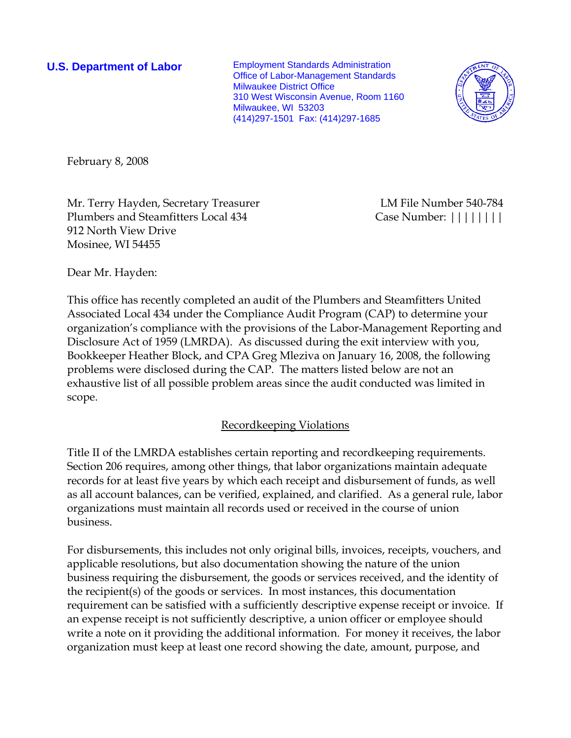**U.S. Department of Labor** Employment Standards Administration Office of Labor-Management Standards Milwaukee District Office 310 West Wisconsin Avenue, Room 1160 Milwaukee, WI 53203 (414)297-1501 Fax: (414)297-1685



February 8, 2008

Mr. Terry Hayden, Secretary Treasurer LM File Number 540-784 Plumbers and Steamfitters Local 434 Case Number:  $|| \cdot || || || || ||$ 912 North View Drive Mosinee, WI 54455

Dear Mr. Hayden:

This office has recently completed an audit of the Plumbers and Steamfitters United Associated Local 434 under the Compliance Audit Program (CAP) to determine your organization's compliance with the provisions of the Labor-Management Reporting and Disclosure Act of 1959 (LMRDA). As discussed during the exit interview with you, Bookkeeper Heather Block, and CPA Greg Mleziva on January 16, 2008, the following problems were disclosed during the CAP. The matters listed below are not an exhaustive list of all possible problem areas since the audit conducted was limited in scope.

# Recordkeeping Violations

Title II of the LMRDA establishes certain reporting and recordkeeping requirements. Section 206 requires, among other things, that labor organizations maintain adequate records for at least five years by which each receipt and disbursement of funds, as well as all account balances, can be verified, explained, and clarified. As a general rule, labor organizations must maintain all records used or received in the course of union business.

For disbursements, this includes not only original bills, invoices, receipts, vouchers, and applicable resolutions, but also documentation showing the nature of the union business requiring the disbursement, the goods or services received, and the identity of the recipient(s) of the goods or services. In most instances, this documentation requirement can be satisfied with a sufficiently descriptive expense receipt or invoice. If an expense receipt is not sufficiently descriptive, a union officer or employee should write a note on it providing the additional information. For money it receives, the labor organization must keep at least one record showing the date, amount, purpose, and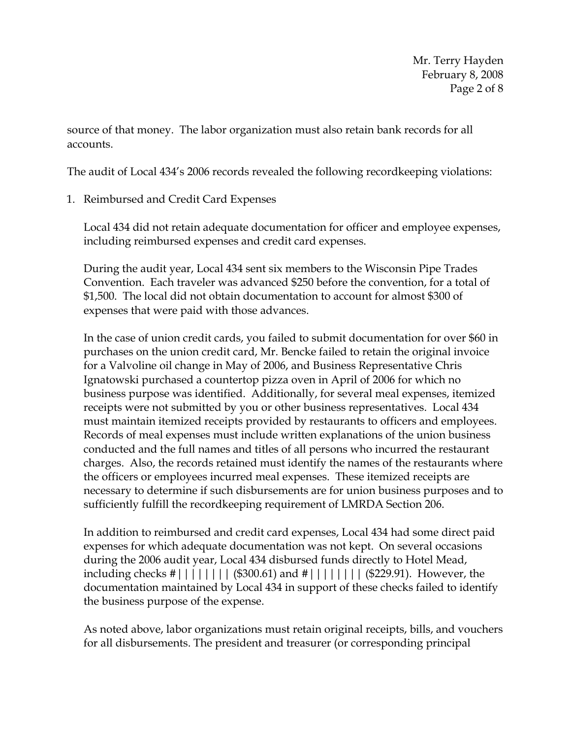source of that money. The labor organization must also retain bank records for all accounts.

The audit of Local 434's 2006 records revealed the following recordkeeping violations:

1. Reimbursed and Credit Card Expenses

Local 434 did not retain adequate documentation for officer and employee expenses, including reimbursed expenses and credit card expenses.

During the audit year, Local 434 sent six members to the Wisconsin Pipe Trades Convention. Each traveler was advanced \$250 before the convention, for a total of \$1,500. The local did not obtain documentation to account for almost \$300 of expenses that were paid with those advances.

In the case of union credit cards, you failed to submit documentation for over \$60 in purchases on the union credit card, Mr. Bencke failed to retain the original invoice for a Valvoline oil change in May of 2006, and Business Representative Chris Ignatowski purchased a countertop pizza oven in April of 2006 for which no business purpose was identified. Additionally, for several meal expenses, itemized receipts were not submitted by you or other business representatives. Local 434 must maintain itemized receipts provided by restaurants to officers and employees. Records of meal expenses must include written explanations of the union business conducted and the full names and titles of all persons who incurred the restaurant charges. Also, the records retained must identify the names of the restaurants where the officers or employees incurred meal expenses.These itemized receipts are necessary to determine if such disbursements are for union business purposes and to sufficiently fulfill the recordkeeping requirement of LMRDA Section 206.

In addition to reimbursed and credit card expenses, Local 434 had some direct paid expenses for which adequate documentation was not kept. On several occasions during the 2006 audit year, Local 434 disbursed funds directly to Hotel Mead, including checks #|||||||| (\$300.61) and #|||||||| (\$229.91). However, the documentation maintained by Local 434 in support of these checks failed to identify the business purpose of the expense.

As noted above, labor organizations must retain original receipts, bills, and vouchers for all disbursements. The president and treasurer (or corresponding principal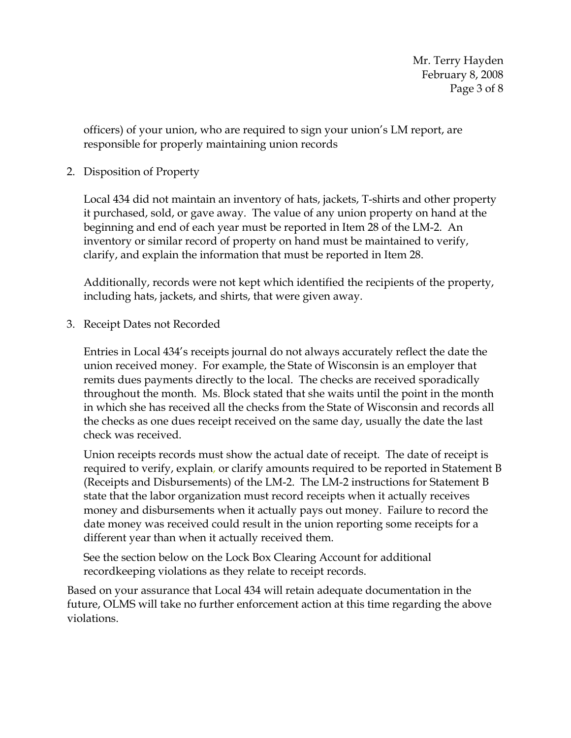officers) of your union, who are required to sign your union's LM report, are responsible for properly maintaining union records

2. Disposition of Property

Local 434 did not maintain an inventory of hats, jackets, T-shirts and other property it purchased, sold, or gave away. The value of any union property on hand at the beginning and end of each year must be reported in Item 28 of the LM-2. An inventory or similar record of property on hand must be maintained to verify, clarify, and explain the information that must be reported in Item 28.

Additionally, records were not kept which identified the recipients of the property, including hats, jackets, and shirts, that were given away.

3. Receipt Dates not Recorded

Entries in Local 434's receipts journal do not always accurately reflect the date the union received money. For example, the State of Wisconsin is an employer that remits dues payments directly to the local. The checks are received sporadically throughout the month. Ms. Block stated that she waits until the point in the month in which she has received all the checks from the State of Wisconsin and records all the checks as one dues receipt received on the same day, usually the date the last check was received.

Union receipts records must show the actual date of receipt. The date of receipt is required to verify, explain, or clarify amounts required to be reported in Statement B (Receipts and Disbursements) of the LM-2. The LM-2 instructions for Statement B state that the labor organization must record receipts when it actually receives money and disbursements when it actually pays out money. Failure to record the date money was received could result in the union reporting some receipts for a different year than when it actually received them.

See the section below on the Lock Box Clearing Account for additional recordkeeping violations as they relate to receipt records.

Based on your assurance that Local 434 will retain adequate documentation in the future, OLMS will take no further enforcement action at this time regarding the above violations.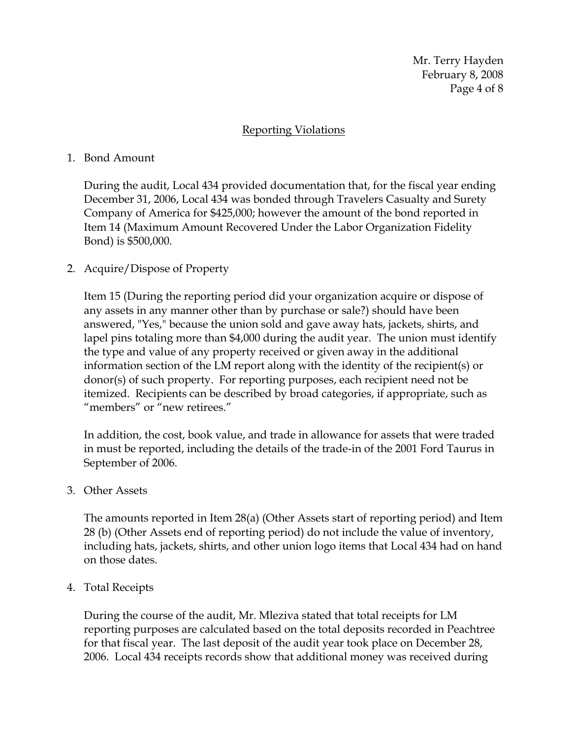Mr. Terry Hayden February 8, 2008 Page 4 of 8

### Reporting Violations

#### 1. Bond Amount

During the audit, Local 434 provided documentation that, for the fiscal year ending December 31, 2006, Local 434 was bonded through Travelers Casualty and Surety Company of America for \$425,000; however the amount of the bond reported in Item 14 (Maximum Amount Recovered Under the Labor Organization Fidelity Bond) is \$500,000.

### 2. Acquire/Dispose of Property

Item 15 (During the reporting period did your organization acquire or dispose of any assets in any manner other than by purchase or sale?) should have been answered, "Yes," because the union sold and gave away hats, jackets, shirts, and lapel pins totaling more than \$4,000 during the audit year. The union must identify the type and value of any property received or given away in the additional information section of the LM report along with the identity of the recipient(s) or donor(s) of such property. For reporting purposes, each recipient need not be itemized. Recipients can be described by broad categories, if appropriate, such as "members" or "new retirees."

In addition, the cost, book value, and trade in allowance for assets that were traded in must be reported, including the details of the trade*-*in of the 2001 Ford Taurus in September of 2006.

#### 3. Other Assets

The amounts reported in Item 28(a) (Other Assets start of reporting period) and Item 28 (b) (Other Assets end of reporting period) do not include the value of inventory, including hats, jackets, shirts, and other union logo items that Local 434 had on hand on those dates.

#### 4. Total Receipts

During the course of the audit, Mr. Mleziva stated that total receipts for LM reporting purposes are calculated based on the total deposits recorded in Peachtree for that fiscal year. The last deposit of the audit year took place on December 28, 2006. Local 434 receipts records show that additional money was received during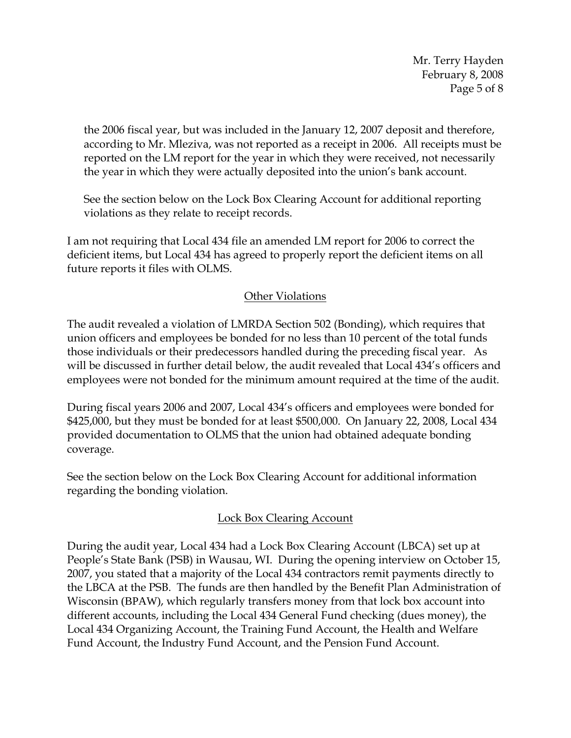Mr. Terry Hayden February 8, 2008 Page 5 of 8

the 2006 fiscal year, but was included in the January 12, 2007 deposit and therefore, according to Mr. Mleziva, was not reported as a receipt in 2006. All receipts must be reported on the LM report for the year in which they were received, not necessarily the year in which they were actually deposited into the union's bank account.

See the section below on the Lock Box Clearing Account for additional reporting violations as they relate to receipt records.

I am not requiring that Local 434 file an amended LM report for 2006 to correct the deficient items, but Local 434 has agreed to properly report the deficient items on all future reports it files with OLMS.

# Other Violations

The audit revealed a violation of LMRDA Section 502 (Bonding), which requires that union officers and employees be bonded for no less than 10 percent of the total funds those individuals or their predecessors handled during the preceding fiscal year. As will be discussed in further detail below, the audit revealed that Local 434's officers and employees were not bonded for the minimum amount required at the time of the audit.

During fiscal years 2006 and 2007, Local 434's officers and employees were bonded for \$425,000, but they must be bonded for at least \$500,000. On January 22, 2008, Local 434 provided documentation to OLMS that the union had obtained adequate bonding coverage.

See the section below on the Lock Box Clearing Account for additional information regarding the bonding violation.

# Lock Box Clearing Account

During the audit year, Local 434 had a Lock Box Clearing Account (LBCA) set up at People's State Bank (PSB) in Wausau, WI. During the opening interview on October 15, 2007, you stated that a majority of the Local 434 contractors remit payments directly to the LBCA at the PSB. The funds are then handled by the Benefit Plan Administration of Wisconsin (BPAW), which regularly transfers money from that lock box account into different accounts, including the Local 434 General Fund checking (dues money), the Local 434 Organizing Account, the Training Fund Account, the Health and Welfare Fund Account, the Industry Fund Account, and the Pension Fund Account.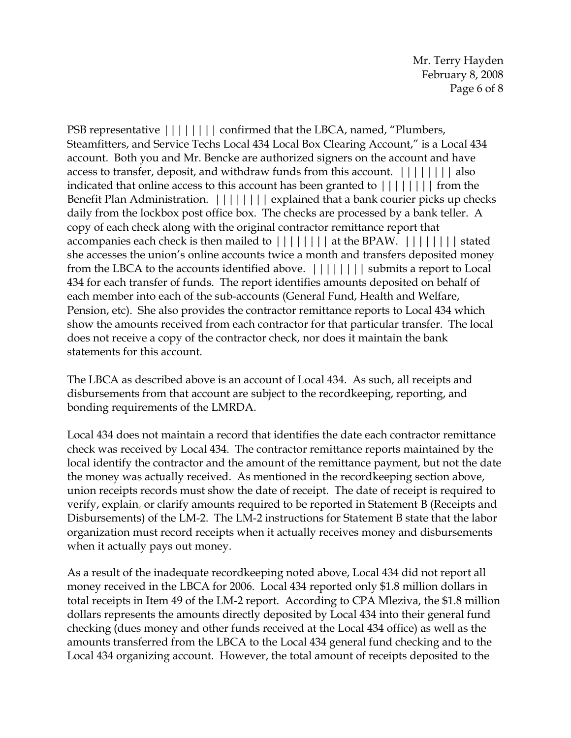PSB representative  $|||||||||$  confirmed that the LBCA, named, "Plumbers, Steamfitters, and Service Techs Local 434 Local Box Clearing Account," is a Local 434 account. Both you and Mr. Bencke are authorized signers on the account and have access to transfer, deposit, and withdraw funds from this account.  $||||||||||$  also indicated that online access to this account has been granted to  $||||||||||$  from the Benefit Plan Administration.  $||||||||||$  explained that a bank courier picks up checks daily from the lockbox post office box. The checks are processed by a bank teller. A copy of each check along with the original contractor remittance report that accompanies each check is then mailed to  $||||||||||$  at the BPAW.  $||||||||||$  stated she accesses the union's online accounts twice a month and transfers deposited money from the LBCA to the accounts identified above.  $||||||||||$  submits a report to Local 434 for each transfer of funds. The report identifies amounts deposited on behalf of each member into each of the sub-accounts (General Fund, Health and Welfare, Pension, etc). She also provides the contractor remittance reports to Local 434 which show the amounts received from each contractor for that particular transfer. The local does not receive a copy of the contractor check, nor does it maintain the bank statements for this account.

The LBCA as described above is an account of Local 434. As such, all receipts and disbursements from that account are subject to the recordkeeping, reporting, and bonding requirements of the LMRDA.

Local 434 does not maintain a record that identifies the date each contractor remittance check was received by Local 434. The contractor remittance reports maintained by the local identify the contractor and the amount of the remittance payment, but not the date the money was actually received. As mentioned in the recordkeeping section above, union receipts records must show the date of receipt. The date of receipt is required to verify, explain, or clarify amounts required to be reported in Statement B (Receipts and Disbursements) of the LM-2. The LM-2 instructions for Statement B state that the labor organization must record receipts when it actually receives money and disbursements when it actually pays out money.

As a result of the inadequate recordkeeping noted above, Local 434 did not report all money received in the LBCA for 2006. Local 434 reported only \$1.8 million dollars in total receipts in Item 49 of the LM-2 report. According to CPA Mleziva, the \$1.8 million dollars represents the amounts directly deposited by Local 434 into their general fund checking (dues money and other funds received at the Local 434 office) as well as the amounts transferred from the LBCA to the Local 434 general fund checking and to the Local 434 organizing account. However, the total amount of receipts deposited to the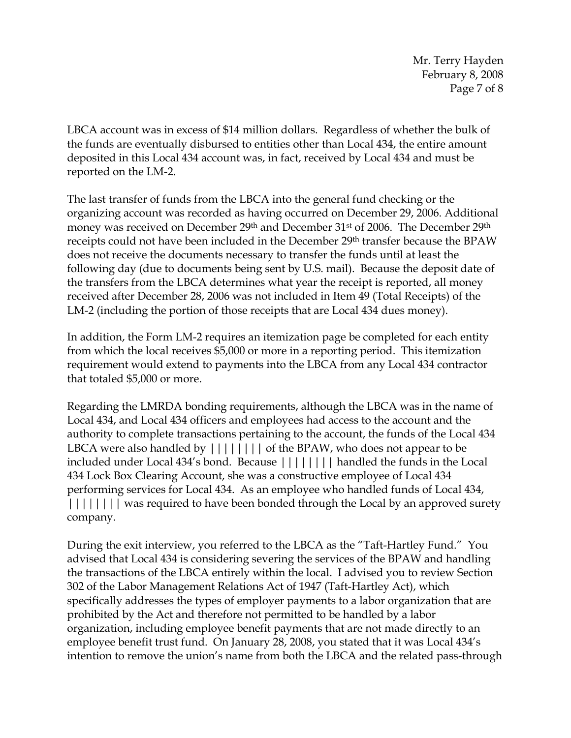Mr. Terry Hayden February 8, 2008 Page 7 of 8

LBCA account was in excess of \$14 million dollars. Regardless of whether the bulk of the funds are eventually disbursed to entities other than Local 434, the entire amount deposited in this Local 434 account was, in fact, received by Local 434 and must be reported on the LM-2.

The last transfer of funds from the LBCA into the general fund checking or the organizing account was recorded as having occurred on December 29, 2006. Additional money was received on December 29<sup>th</sup> and December 31<sup>st</sup> of 2006. The December 29<sup>th</sup> receipts could not have been included in the December 29th transfer because the BPAW does not receive the documents necessary to transfer the funds until at least the following day (due to documents being sent by U.S. mail). Because the deposit date of the transfers from the LBCA determines what year the receipt is reported, all money received after December 28, 2006 was not included in Item 49 (Total Receipts) of the LM-2 (including the portion of those receipts that are Local 434 dues money).

In addition, the Form LM-2 requires an itemization page be completed for each entity from which the local receives \$5,000 or more in a reporting period. This itemization requirement would extend to payments into the LBCA from any Local 434 contractor that totaled \$5,000 or more.

Regarding the LMRDA bonding requirements, although the LBCA was in the name of Local 434, and Local 434 officers and employees had access to the account and the authority to complete transactions pertaining to the account, the funds of the Local 434 LBCA were also handled by  $||||||||||$  of the BPAW, who does not appear to be included under Local 434's bond.Because |||||||| handled the funds in the Local 434 Lock Box Clearing Account, she was a constructive employee of Local 434 performing services for Local 434.As an employee who handled funds of Local 434, |||||||| was required to have been bonded through the Local by an approved surety company.

During the exit interview, you referred to the LBCA as the "Taft-Hartley Fund." You advised that Local 434 is considering severing the services of the BPAW and handling the transactions of the LBCA entirely within the local. I advised you to review Section 302 of the Labor Management Relations Act of 1947 (Taft-Hartley Act), which specifically addresses the types of employer payments to a labor organization that are prohibited by the Act and therefore not permitted to be handled by a labor organization, including employee benefit payments that are not made directly to an employee benefit trust fund. On January 28, 2008, you stated that it was Local 434's intention to remove the union's name from both the LBCA and the related pass-through